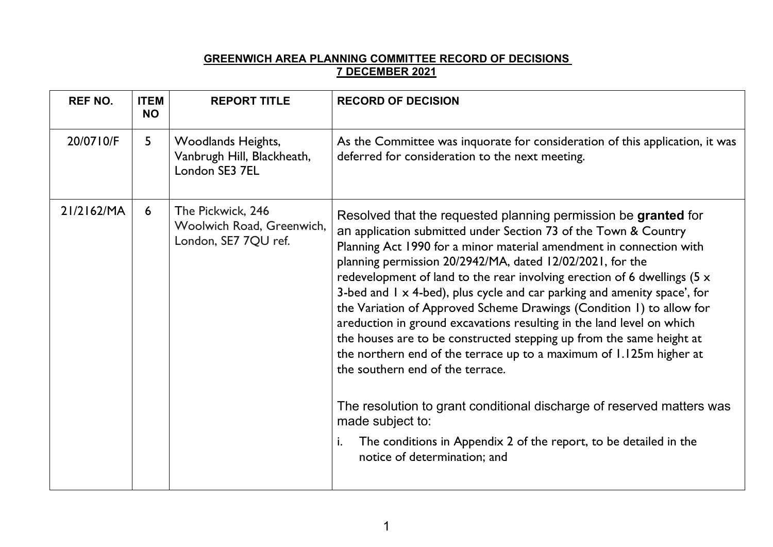## **GREENWICH AREA PLANNING COMMITTEE RECORD OF DECISIONS 7 DECEMBER 2021**

| <b>REF NO.</b> | <b>ITEM</b><br><b>NO</b> | <b>REPORT TITLE</b>                                                    | <b>RECORD OF DECISION</b>                                                                                                                                                                                                                                                                                                                                                                                                                                                                                                                                                                                                                                                                                                                                                                                                                                                                                                                                                                 |
|----------------|--------------------------|------------------------------------------------------------------------|-------------------------------------------------------------------------------------------------------------------------------------------------------------------------------------------------------------------------------------------------------------------------------------------------------------------------------------------------------------------------------------------------------------------------------------------------------------------------------------------------------------------------------------------------------------------------------------------------------------------------------------------------------------------------------------------------------------------------------------------------------------------------------------------------------------------------------------------------------------------------------------------------------------------------------------------------------------------------------------------|
| 20/0710/F      | $5\overline{)}$          | Woodlands Heights,<br>Vanbrugh Hill, Blackheath,<br>London SE3 7EL     | As the Committee was inquorate for consideration of this application, it was<br>deferred for consideration to the next meeting.                                                                                                                                                                                                                                                                                                                                                                                                                                                                                                                                                                                                                                                                                                                                                                                                                                                           |
| 21/2162/MA     | 6                        | The Pickwick, 246<br>Woolwich Road, Greenwich,<br>London, SE7 7QU ref. | Resolved that the requested planning permission be granted for<br>an application submitted under Section 73 of the Town & Country<br>Planning Act 1990 for a minor material amendment in connection with<br>planning permission 20/2942/MA, dated 12/02/2021, for the<br>redevelopment of land to the rear involving erection of 6 dwellings ( $5 \times$<br>3-bed and $1 \times 4$ -bed), plus cycle and car parking and amenity space', for<br>the Variation of Approved Scheme Drawings (Condition 1) to allow for<br>areduction in ground excavations resulting in the land level on which<br>the houses are to be constructed stepping up from the same height at<br>the northern end of the terrace up to a maximum of 1.125m higher at<br>the southern end of the terrace.<br>The resolution to grant conditional discharge of reserved matters was<br>made subject to:<br>The conditions in Appendix 2 of the report, to be detailed in the<br>i.<br>notice of determination; and |